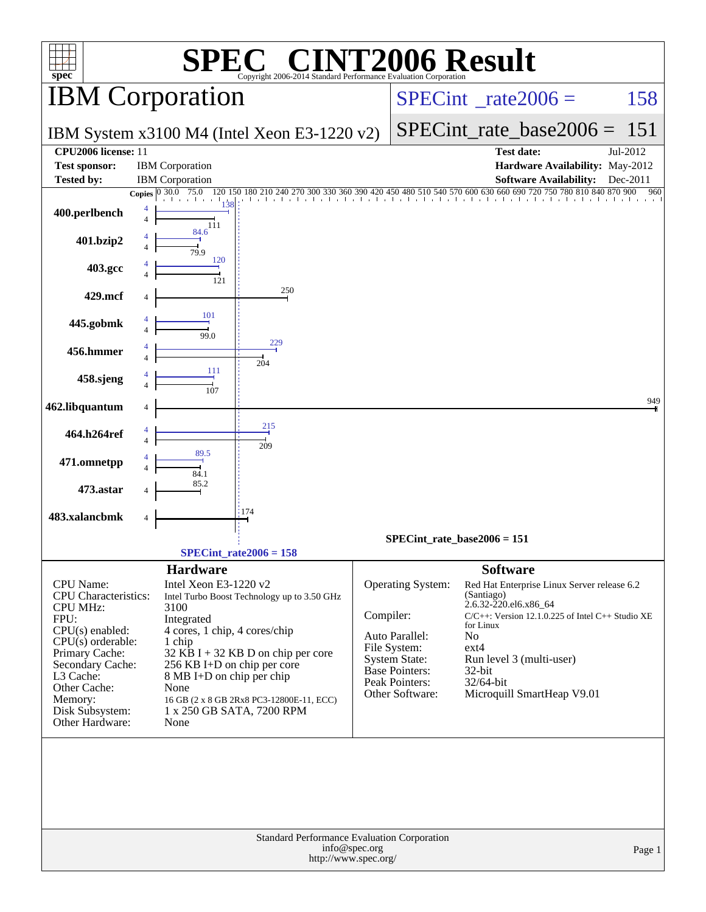| <b>SPEC<sup>®</sup> CINT2006 Result</b><br>$spec^*$<br>Copyright 2006-2014 Standard Performance Evaluation Corporation |                                                                                      |                                                                                                            |  |  |  |  |  |  |  |  |  |
|------------------------------------------------------------------------------------------------------------------------|--------------------------------------------------------------------------------------|------------------------------------------------------------------------------------------------------------|--|--|--|--|--|--|--|--|--|
|                                                                                                                        | <b>IBM</b> Corporation                                                               | $SPECint^{\circ}$ <sub>_rate2006</sub> =<br>158                                                            |  |  |  |  |  |  |  |  |  |
|                                                                                                                        | IBM System x3100 M4 (Intel Xeon E3-1220 v2)                                          | $SPECint_rate_base2006 =$<br>151                                                                           |  |  |  |  |  |  |  |  |  |
| CPU2006 license: 11<br><b>Test sponsor:</b><br><b>Tested by:</b>                                                       | <b>IBM</b> Corporation<br><b>IBM</b> Corporation                                     | <b>Test date:</b><br>Jul-2012<br>Hardware Availability: May-2012<br>Software Availability: Dec-2011        |  |  |  |  |  |  |  |  |  |
|                                                                                                                        | Copies 0 30.0 75.0                                                                   | 180 210 240 270 300 330 360 390 420 450 480 510 540 570 600 630 660 690 720 750 780 810 840 870 900<br>960 |  |  |  |  |  |  |  |  |  |
| 400.perlbench                                                                                                          | 111                                                                                  |                                                                                                            |  |  |  |  |  |  |  |  |  |
| 401.bzip2                                                                                                              | 84.6<br>120                                                                          |                                                                                                            |  |  |  |  |  |  |  |  |  |
| 403.gcc                                                                                                                |                                                                                      |                                                                                                            |  |  |  |  |  |  |  |  |  |
| 429.mcf                                                                                                                | 250                                                                                  |                                                                                                            |  |  |  |  |  |  |  |  |  |
| 445.gobmk                                                                                                              | $\frac{1}{99.0}$                                                                     |                                                                                                            |  |  |  |  |  |  |  |  |  |
| 456.hmmer                                                                                                              | 229                                                                                  |                                                                                                            |  |  |  |  |  |  |  |  |  |
| 458.sjeng                                                                                                              | 204                                                                                  |                                                                                                            |  |  |  |  |  |  |  |  |  |
| 462.libquantum                                                                                                         |                                                                                      | 949                                                                                                        |  |  |  |  |  |  |  |  |  |
| 464.h264ref                                                                                                            | 215<br>209                                                                           |                                                                                                            |  |  |  |  |  |  |  |  |  |
| 471.omnetpp                                                                                                            |                                                                                      |                                                                                                            |  |  |  |  |  |  |  |  |  |
| 473.astar                                                                                                              |                                                                                      |                                                                                                            |  |  |  |  |  |  |  |  |  |
| 483.xalancbmk                                                                                                          | 174                                                                                  |                                                                                                            |  |  |  |  |  |  |  |  |  |
|                                                                                                                        |                                                                                      | SPECint rate base $2006 = 151$                                                                             |  |  |  |  |  |  |  |  |  |
|                                                                                                                        | $SPECint_rate2006 = 158$<br><b>Hardware</b>                                          | <b>Software</b>                                                                                            |  |  |  |  |  |  |  |  |  |
| <b>CPU</b> Name:<br><b>CPU</b> Characteristics:                                                                        | Intel Xeon E3-1220 v2<br>Intel Turbo Boost Technology up to 3.50 GHz                 | Operating System:<br>Red Hat Enterprise Linux Server release 6.2<br>(Santiago)<br>2.6.32-220.el6.x86_64    |  |  |  |  |  |  |  |  |  |
| <b>CPU MHz:</b><br>FPU:                                                                                                | 3100<br>Integrated                                                                   | Compiler:<br>C/C++: Version 12.1.0.225 of Intel C++ Studio XE                                              |  |  |  |  |  |  |  |  |  |
| CPU(s) enabled:<br>$CPU(s)$ orderable:                                                                                 | 4 cores, 1 chip, 4 cores/chip<br>1 chip                                              | for Linux<br>Auto Parallel:<br>N <sub>0</sub>                                                              |  |  |  |  |  |  |  |  |  |
| Primary Cache:                                                                                                         | $32$ KB I + 32 KB D on chip per core                                                 | File System:<br>$ext{4}$<br>System State:<br>Run level 3 (multi-user)                                      |  |  |  |  |  |  |  |  |  |
| Secondary Cache:<br>L3 Cache:                                                                                          | 256 KB I+D on chip per core<br>8 MB I+D on chip per chip                             | <b>Base Pointers:</b><br>32-bit                                                                            |  |  |  |  |  |  |  |  |  |
| Other Cache:                                                                                                           | None                                                                                 | Peak Pointers:<br>32/64-bit<br>Other Software:<br>Microquill SmartHeap V9.01                               |  |  |  |  |  |  |  |  |  |
| Memory:<br>Disk Subsystem:<br>Other Hardware:                                                                          | 16 GB (2 x 8 GB 2Rx8 PC3-12800E-11, ECC)<br>1 x 250 GB SATA, 7200 RPM<br>None        |                                                                                                            |  |  |  |  |  |  |  |  |  |
|                                                                                                                        |                                                                                      |                                                                                                            |  |  |  |  |  |  |  |  |  |
|                                                                                                                        | Standard Performance Evaluation Corporation<br>info@spec.org<br>http://www.spec.org/ | Page 1                                                                                                     |  |  |  |  |  |  |  |  |  |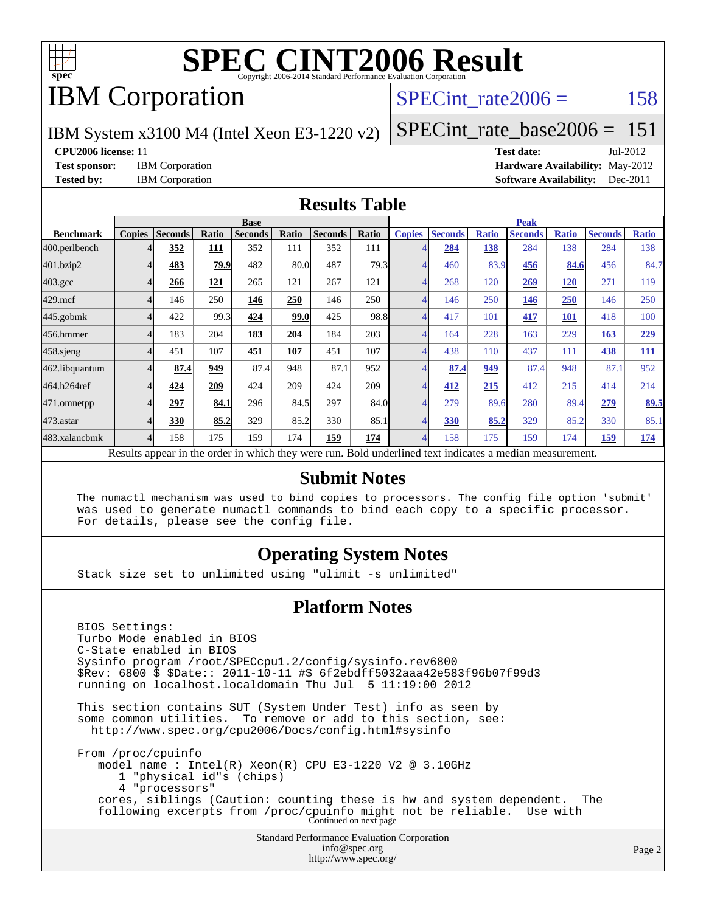

## IBM Corporation

### SPECint rate $2006 = 158$

IBM System x3100 M4 (Intel Xeon E3-1220 v2)

[SPECint\\_rate\\_base2006 =](http://www.spec.org/auto/cpu2006/Docs/result-fields.html#SPECintratebase2006)  $151$ 

**[CPU2006 license:](http://www.spec.org/auto/cpu2006/Docs/result-fields.html#CPU2006license)** 11 **[Test date:](http://www.spec.org/auto/cpu2006/Docs/result-fields.html#Testdate)** Jul-2012

[Test sponsor:](http://www.spec.org/auto/cpu2006/Docs/result-fields.html#Testsponsor) IBM Corporation **[Hardware Availability:](http://www.spec.org/auto/cpu2006/Docs/result-fields.html#HardwareAvailability)** May-2012 **[Tested by:](http://www.spec.org/auto/cpu2006/Docs/result-fields.html#Testedby)** IBM Corporation **[Software Availability:](http://www.spec.org/auto/cpu2006/Docs/result-fields.html#SoftwareAvailability)** Dec-2011

#### **[Results Table](http://www.spec.org/auto/cpu2006/Docs/result-fields.html#ResultsTable)**

|                                                                                                          | <b>Base</b>   |                |              |                |       |                |       | <b>Peak</b>   |                |              |                |              |                |              |
|----------------------------------------------------------------------------------------------------------|---------------|----------------|--------------|----------------|-------|----------------|-------|---------------|----------------|--------------|----------------|--------------|----------------|--------------|
| <b>Benchmark</b>                                                                                         | <b>Copies</b> | <b>Seconds</b> | <b>Ratio</b> | <b>Seconds</b> | Ratio | <b>Seconds</b> | Ratio | <b>Copies</b> | <b>Seconds</b> | <b>Ratio</b> | <b>Seconds</b> | <b>Ratio</b> | <b>Seconds</b> | <b>Ratio</b> |
| 400.perlbench                                                                                            | 4             | 352            | 111          | 352            | 111   | 352            | 111   | 4             | 284            | 138          | 284            | 138          | 284            | 138          |
| 401.bzip2                                                                                                | 4             | 483            | 79.9         | 482            | 80.0  | 487            | 79.3  | 4             | 460            | 83.9         | 456            | 84.6         | 456            | 84.7         |
| $403.\mathrm{gcc}$                                                                                       | 4             | 266            | 121          | 265            | 121   | 267            | 121   | 4             | 268            | 120          | 269            | 120          | 271            | 119          |
| $429$ .mcf                                                                                               | 4             | 146            | 250          | 146            | 250   | 146            | 250   | 4             | 146            | 250          | 146            | 250          | 146            | 250          |
| $445$ .gobm $k$                                                                                          | 4             | 422            | 99.3         | 424            | 99.0  | 425            | 98.8  | 4             | 417            | 101          | 417            | 101          | 418            | 100          |
| 456.hmmer                                                                                                | 4             | 183            | 204          | 183            | 204   | 184            | 203   | 4             | 164            | 228          | 163            | 229          | 163            | 229          |
| $458$ .sjeng                                                                                             | 4             | 451            | 107          | 451            | 107   | 451            | 107   | 4             | 438            | 110          | 437            | 111          | 438            | 111          |
| 462.libquantum                                                                                           | 4             | 87.4           | 949          | 87.4           | 948   | 87.1           | 952   | 4             | 87.4           | 949          | 87.4           | 948          | 87.1           | 952          |
| 464.h264ref                                                                                              | 4             | 424            | 209          | 424            | 209   | 424            | 209   | 4             | 412            | 215          | 412            | 215          | 414            | 214          |
| 471.omnetpp                                                                                              | 4             | 297            | 84.1         | 296            | 84.5  | 297            | 84.0  | 4             | 279            | 89.6         | 280            | 89.4         | 279            | 89.5         |
| $473$ . astar                                                                                            | 4             | 330            | 85.2         | 329            | 85.2  | 330            | 85.1  | 4             | 330            | 85.2         | 329            | 85.2         | 330            | 85.1         |
| 483.xalancbmk                                                                                            | 4             | 158            | 175          | 159            | 174   | 159            | 174   | 4             | 158            | 175          | 159            | 174          | 159            | <u>174</u>   |
| Results appear in the order in which they were run. Bold underlined text indicates a median measurement. |               |                |              |                |       |                |       |               |                |              |                |              |                |              |

#### **[Submit Notes](http://www.spec.org/auto/cpu2006/Docs/result-fields.html#SubmitNotes)**

 The numactl mechanism was used to bind copies to processors. The config file option 'submit' was used to generate numactl commands to bind each copy to a specific processor. For details, please see the config file.

#### **[Operating System Notes](http://www.spec.org/auto/cpu2006/Docs/result-fields.html#OperatingSystemNotes)**

Stack size set to unlimited using "ulimit -s unlimited"

#### **[Platform Notes](http://www.spec.org/auto/cpu2006/Docs/result-fields.html#PlatformNotes)**

Standard Performance Evaluation Corporation [info@spec.org](mailto:info@spec.org) BIOS Settings: Turbo Mode enabled in BIOS C-State enabled in BIOS Sysinfo program /root/SPECcpu1.2/config/sysinfo.rev6800 \$Rev: 6800 \$ \$Date:: 2011-10-11 #\$ 6f2ebdff5032aaa42e583f96b07f99d3 running on localhost.localdomain Thu Jul 5 11:19:00 2012 This section contains SUT (System Under Test) info as seen by some common utilities. To remove or add to this section, see: <http://www.spec.org/cpu2006/Docs/config.html#sysinfo> From /proc/cpuinfo model name : Intel(R) Xeon(R) CPU E3-1220 V2 @ 3.10GHz 1 "physical id"s (chips) 4 "processors" cores, siblings (Caution: counting these is hw and system dependent. The following excerpts from /proc/cpuinfo might not be reliable. Use with Continued on next page

<http://www.spec.org/>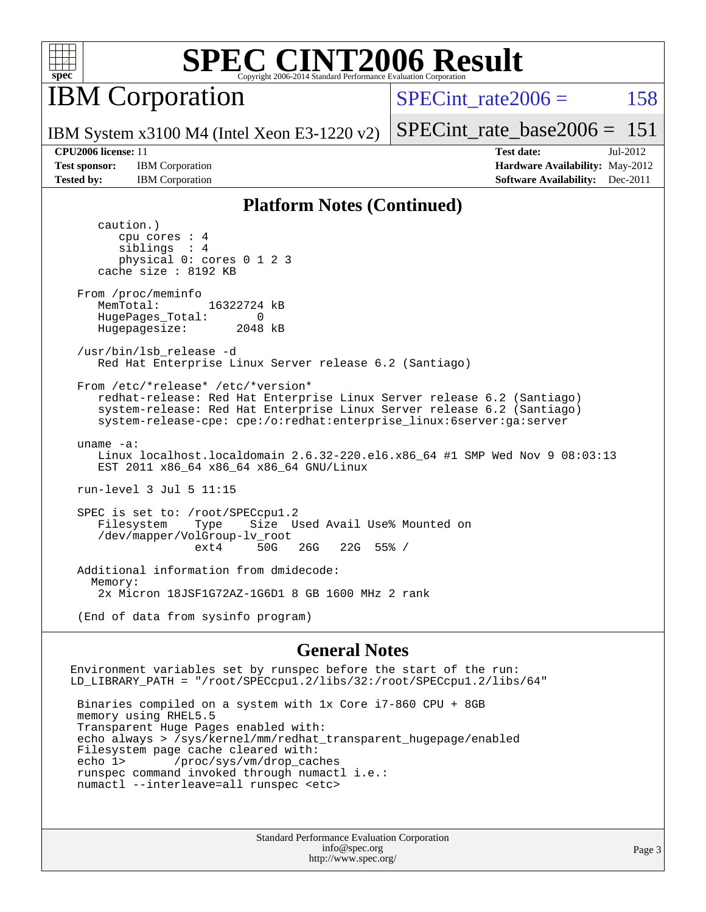

IBM Corporation

SPECint rate $2006 = 158$ 

IBM System x3100 M4 (Intel Xeon E3-1220 v2)

[SPECint\\_rate\\_base2006 =](http://www.spec.org/auto/cpu2006/Docs/result-fields.html#SPECintratebase2006)  $151$ 

**[Test sponsor:](http://www.spec.org/auto/cpu2006/Docs/result-fields.html#Testsponsor)** IBM Corporation **[Hardware Availability:](http://www.spec.org/auto/cpu2006/Docs/result-fields.html#HardwareAvailability)** May-2012

**[CPU2006 license:](http://www.spec.org/auto/cpu2006/Docs/result-fields.html#CPU2006license)** 11 **[Test date:](http://www.spec.org/auto/cpu2006/Docs/result-fields.html#Testdate)** Jul-2012 **[Tested by:](http://www.spec.org/auto/cpu2006/Docs/result-fields.html#Testedby)** IBM Corporation **[Software Availability:](http://www.spec.org/auto/cpu2006/Docs/result-fields.html#SoftwareAvailability)** Dec-2011

#### **[Platform Notes \(Continued\)](http://www.spec.org/auto/cpu2006/Docs/result-fields.html#PlatformNotes)**

 caution.) cpu cores : 4 siblings : 4 physical 0: cores 0 1 2 3 cache size : 8192 KB From /proc/meminfo MemTotal: 16322724 kB HugePages\_Total: 0<br>Hugepagesize: 2048 kB Hugepagesize: /usr/bin/lsb\_release -d Red Hat Enterprise Linux Server release 6.2 (Santiago) From /etc/\*release\* /etc/\*version\* redhat-release: Red Hat Enterprise Linux Server release 6.2 (Santiago) system-release: Red Hat Enterprise Linux Server release 6.2 (Santiago) system-release-cpe: cpe:/o:redhat:enterprise\_linux:6server:ga:server uname -a: Linux localhost.localdomain 2.6.32-220.el6.x86\_64 #1 SMP Wed Nov 9 08:03:13 EST 2011 x86\_64 x86\_64 x86\_64 GNU/Linux run-level 3 Jul 5 11:15 SPEC is set to: /root/SPECcpu1.2 Filesystem Type Size Used Avail Use% Mounted on /dev/mapper/VolGroup-lv\_root 26G 22G 55% / Additional information from dmidecode: Memory: 2x Micron 18JSF1G72AZ-1G6D1 8 GB 1600 MHz 2 rank (End of data from sysinfo program)

**[General Notes](http://www.spec.org/auto/cpu2006/Docs/result-fields.html#GeneralNotes)**

Environment variables set by runspec before the start of the run: LD\_LIBRARY\_PATH = "/root/SPECcpu1.2/libs/32:/root/SPECcpu1.2/libs/64" Binaries compiled on a system with 1x Core i7-860 CPU + 8GB

 memory using RHEL5.5 Transparent Huge Pages enabled with: echo always > /sys/kernel/mm/redhat\_transparent\_hugepage/enabled Filesystem page cache cleared with: echo 1> /proc/sys/vm/drop\_caches runspec command invoked through numactl i.e.: numactl --interleave=all runspec <etc>

> Standard Performance Evaluation Corporation [info@spec.org](mailto:info@spec.org) <http://www.spec.org/>

Page 3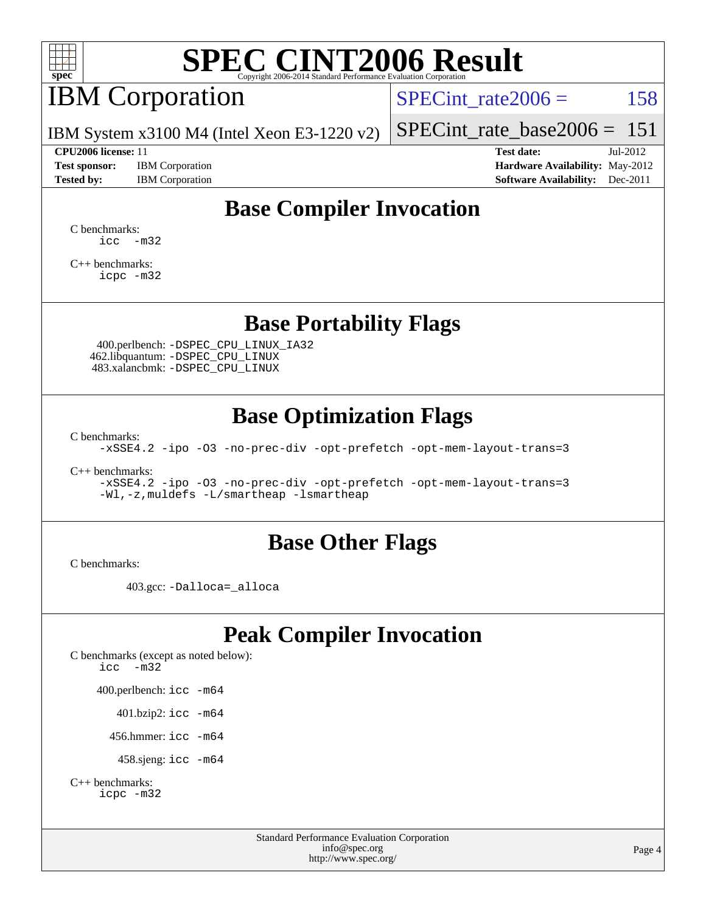

## IBM Corporation

SPECint rate $2006 = 158$ 

IBM System x3100 M4 (Intel Xeon E3-1220 v2)

#### **[CPU2006 license:](http://www.spec.org/auto/cpu2006/Docs/result-fields.html#CPU2006license)** 11 **[Test date:](http://www.spec.org/auto/cpu2006/Docs/result-fields.html#Testdate)** Jul-2012

**[Test sponsor:](http://www.spec.org/auto/cpu2006/Docs/result-fields.html#Testsponsor)** IBM Corporation **[Hardware Availability:](http://www.spec.org/auto/cpu2006/Docs/result-fields.html#HardwareAvailability)** May-2012

[SPECint\\_rate\\_base2006 =](http://www.spec.org/auto/cpu2006/Docs/result-fields.html#SPECintratebase2006)  $151$ 

**[Tested by:](http://www.spec.org/auto/cpu2006/Docs/result-fields.html#Testedby)** IBM Corporation **[Software Availability:](http://www.spec.org/auto/cpu2006/Docs/result-fields.html#SoftwareAvailability)** Dec-2011

### **[Base Compiler Invocation](http://www.spec.org/auto/cpu2006/Docs/result-fields.html#BaseCompilerInvocation)**

[C benchmarks](http://www.spec.org/auto/cpu2006/Docs/result-fields.html#Cbenchmarks):  $\text{icc}$   $-\text{m32}$ 

[C++ benchmarks:](http://www.spec.org/auto/cpu2006/Docs/result-fields.html#CXXbenchmarks) [icpc -m32](http://www.spec.org/cpu2006/results/res2012q3/cpu2006-20120710-23529.flags.html#user_CXXbase_intel_icpc_4e5a5ef1a53fd332b3c49e69c3330699)

#### **[Base Portability Flags](http://www.spec.org/auto/cpu2006/Docs/result-fields.html#BasePortabilityFlags)**

 400.perlbench: [-DSPEC\\_CPU\\_LINUX\\_IA32](http://www.spec.org/cpu2006/results/res2012q3/cpu2006-20120710-23529.flags.html#b400.perlbench_baseCPORTABILITY_DSPEC_CPU_LINUX_IA32) 462.libquantum: [-DSPEC\\_CPU\\_LINUX](http://www.spec.org/cpu2006/results/res2012q3/cpu2006-20120710-23529.flags.html#b462.libquantum_baseCPORTABILITY_DSPEC_CPU_LINUX) 483.xalancbmk: [-DSPEC\\_CPU\\_LINUX](http://www.spec.org/cpu2006/results/res2012q3/cpu2006-20120710-23529.flags.html#b483.xalancbmk_baseCXXPORTABILITY_DSPEC_CPU_LINUX)

### **[Base Optimization Flags](http://www.spec.org/auto/cpu2006/Docs/result-fields.html#BaseOptimizationFlags)**

[C benchmarks](http://www.spec.org/auto/cpu2006/Docs/result-fields.html#Cbenchmarks):

[-xSSE4.2](http://www.spec.org/cpu2006/results/res2012q3/cpu2006-20120710-23529.flags.html#user_CCbase_f-xSSE42_f91528193cf0b216347adb8b939d4107) [-ipo](http://www.spec.org/cpu2006/results/res2012q3/cpu2006-20120710-23529.flags.html#user_CCbase_f-ipo) [-O3](http://www.spec.org/cpu2006/results/res2012q3/cpu2006-20120710-23529.flags.html#user_CCbase_f-O3) [-no-prec-div](http://www.spec.org/cpu2006/results/res2012q3/cpu2006-20120710-23529.flags.html#user_CCbase_f-no-prec-div) [-opt-prefetch](http://www.spec.org/cpu2006/results/res2012q3/cpu2006-20120710-23529.flags.html#user_CCbase_f-opt-prefetch) [-opt-mem-layout-trans=3](http://www.spec.org/cpu2006/results/res2012q3/cpu2006-20120710-23529.flags.html#user_CCbase_f-opt-mem-layout-trans_a7b82ad4bd7abf52556d4961a2ae94d5)

[C++ benchmarks:](http://www.spec.org/auto/cpu2006/Docs/result-fields.html#CXXbenchmarks)

[-xSSE4.2](http://www.spec.org/cpu2006/results/res2012q3/cpu2006-20120710-23529.flags.html#user_CXXbase_f-xSSE42_f91528193cf0b216347adb8b939d4107) [-ipo](http://www.spec.org/cpu2006/results/res2012q3/cpu2006-20120710-23529.flags.html#user_CXXbase_f-ipo) [-O3](http://www.spec.org/cpu2006/results/res2012q3/cpu2006-20120710-23529.flags.html#user_CXXbase_f-O3) [-no-prec-div](http://www.spec.org/cpu2006/results/res2012q3/cpu2006-20120710-23529.flags.html#user_CXXbase_f-no-prec-div) [-opt-prefetch](http://www.spec.org/cpu2006/results/res2012q3/cpu2006-20120710-23529.flags.html#user_CXXbase_f-opt-prefetch) [-opt-mem-layout-trans=3](http://www.spec.org/cpu2006/results/res2012q3/cpu2006-20120710-23529.flags.html#user_CXXbase_f-opt-mem-layout-trans_a7b82ad4bd7abf52556d4961a2ae94d5) [-Wl,-z,muldefs](http://www.spec.org/cpu2006/results/res2012q3/cpu2006-20120710-23529.flags.html#user_CXXbase_link_force_multiple1_74079c344b956b9658436fd1b6dd3a8a) [-L/smartheap -lsmartheap](http://www.spec.org/cpu2006/results/res2012q3/cpu2006-20120710-23529.flags.html#user_CXXbase_SmartHeap_7c9e394a5779e1a7fec7c221e123830c)

#### **[Base Other Flags](http://www.spec.org/auto/cpu2006/Docs/result-fields.html#BaseOtherFlags)**

[C benchmarks](http://www.spec.org/auto/cpu2006/Docs/result-fields.html#Cbenchmarks):

403.gcc: [-Dalloca=\\_alloca](http://www.spec.org/cpu2006/results/res2012q3/cpu2006-20120710-23529.flags.html#b403.gcc_baseEXTRA_CFLAGS_Dalloca_be3056838c12de2578596ca5467af7f3)

### **[Peak Compiler Invocation](http://www.spec.org/auto/cpu2006/Docs/result-fields.html#PeakCompilerInvocation)**

[C benchmarks \(except as noted below\)](http://www.spec.org/auto/cpu2006/Docs/result-fields.html#Cbenchmarksexceptasnotedbelow): [icc -m32](http://www.spec.org/cpu2006/results/res2012q3/cpu2006-20120710-23529.flags.html#user_CCpeak_intel_icc_5ff4a39e364c98233615fdd38438c6f2) 400.perlbench: [icc -m64](http://www.spec.org/cpu2006/results/res2012q3/cpu2006-20120710-23529.flags.html#user_peakCCLD400_perlbench_intel_icc_64bit_bda6cc9af1fdbb0edc3795bac97ada53) 401.bzip2: [icc -m64](http://www.spec.org/cpu2006/results/res2012q3/cpu2006-20120710-23529.flags.html#user_peakCCLD401_bzip2_intel_icc_64bit_bda6cc9af1fdbb0edc3795bac97ada53)

456.hmmer: [icc -m64](http://www.spec.org/cpu2006/results/res2012q3/cpu2006-20120710-23529.flags.html#user_peakCCLD456_hmmer_intel_icc_64bit_bda6cc9af1fdbb0edc3795bac97ada53)

458.sjeng: [icc -m64](http://www.spec.org/cpu2006/results/res2012q3/cpu2006-20120710-23529.flags.html#user_peakCCLD458_sjeng_intel_icc_64bit_bda6cc9af1fdbb0edc3795bac97ada53)

```
C++ benchmarks: 
icpc -m32
```
Standard Performance Evaluation Corporation [info@spec.org](mailto:info@spec.org) <http://www.spec.org/>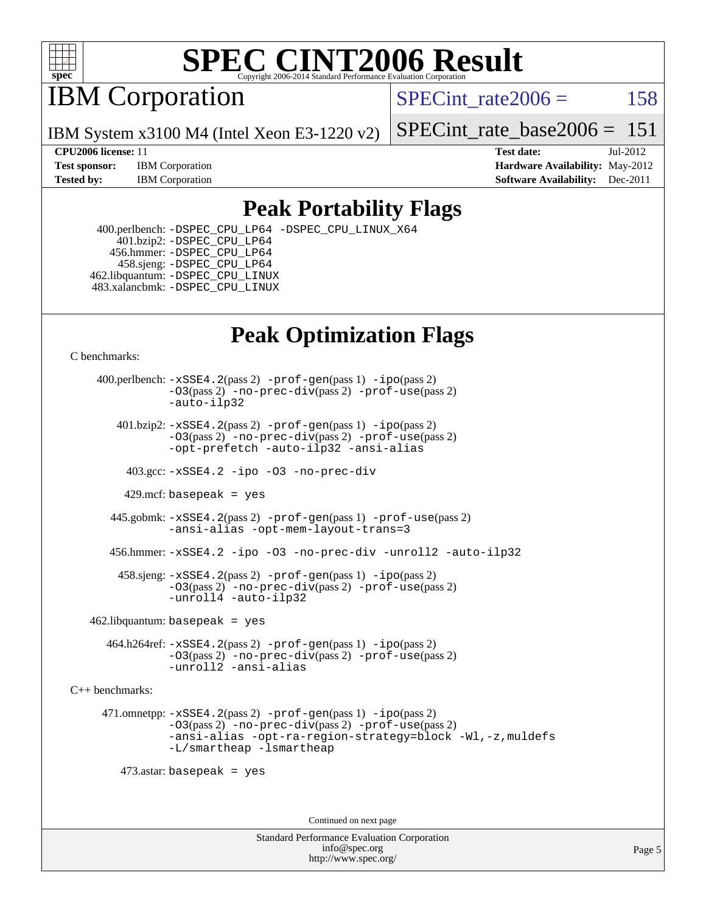

IBM Corporation

SPECint rate $2006 = 158$ 

IBM System x3100 M4 (Intel Xeon E3-1220 v2)

[SPECint\\_rate\\_base2006 =](http://www.spec.org/auto/cpu2006/Docs/result-fields.html#SPECintratebase2006)  $151$ 

**[CPU2006 license:](http://www.spec.org/auto/cpu2006/Docs/result-fields.html#CPU2006license)** 11 **[Test date:](http://www.spec.org/auto/cpu2006/Docs/result-fields.html#Testdate)** Jul-2012 **[Test sponsor:](http://www.spec.org/auto/cpu2006/Docs/result-fields.html#Testsponsor)** IBM Corporation **[Hardware Availability:](http://www.spec.org/auto/cpu2006/Docs/result-fields.html#HardwareAvailability)** May-2012 **[Tested by:](http://www.spec.org/auto/cpu2006/Docs/result-fields.html#Testedby)** IBM Corporation **[Software Availability:](http://www.spec.org/auto/cpu2006/Docs/result-fields.html#SoftwareAvailability)** Dec-2011

### **[Peak Portability Flags](http://www.spec.org/auto/cpu2006/Docs/result-fields.html#PeakPortabilityFlags)**

 400.perlbench: [-DSPEC\\_CPU\\_LP64](http://www.spec.org/cpu2006/results/res2012q3/cpu2006-20120710-23529.flags.html#b400.perlbench_peakCPORTABILITY_DSPEC_CPU_LP64) [-DSPEC\\_CPU\\_LINUX\\_X64](http://www.spec.org/cpu2006/results/res2012q3/cpu2006-20120710-23529.flags.html#b400.perlbench_peakCPORTABILITY_DSPEC_CPU_LINUX_X64) 401.bzip2: [-DSPEC\\_CPU\\_LP64](http://www.spec.org/cpu2006/results/res2012q3/cpu2006-20120710-23529.flags.html#suite_peakCPORTABILITY401_bzip2_DSPEC_CPU_LP64) 456.hmmer: [-DSPEC\\_CPU\\_LP64](http://www.spec.org/cpu2006/results/res2012q3/cpu2006-20120710-23529.flags.html#suite_peakCPORTABILITY456_hmmer_DSPEC_CPU_LP64) 458.sjeng: [-DSPEC\\_CPU\\_LP64](http://www.spec.org/cpu2006/results/res2012q3/cpu2006-20120710-23529.flags.html#suite_peakCPORTABILITY458_sjeng_DSPEC_CPU_LP64) 462.libquantum: [-DSPEC\\_CPU\\_LINUX](http://www.spec.org/cpu2006/results/res2012q3/cpu2006-20120710-23529.flags.html#b462.libquantum_peakCPORTABILITY_DSPEC_CPU_LINUX) 483.xalancbmk: [-DSPEC\\_CPU\\_LINUX](http://www.spec.org/cpu2006/results/res2012q3/cpu2006-20120710-23529.flags.html#b483.xalancbmk_peakCXXPORTABILITY_DSPEC_CPU_LINUX)

## **[Peak Optimization Flags](http://www.spec.org/auto/cpu2006/Docs/result-fields.html#PeakOptimizationFlags)**

[C benchmarks](http://www.spec.org/auto/cpu2006/Docs/result-fields.html#Cbenchmarks):

 400.perlbench: [-xSSE4.2](http://www.spec.org/cpu2006/results/res2012q3/cpu2006-20120710-23529.flags.html#user_peakPASS2_CFLAGSPASS2_LDCFLAGS400_perlbench_f-xSSE42_f91528193cf0b216347adb8b939d4107)(pass 2) [-prof-gen](http://www.spec.org/cpu2006/results/res2012q3/cpu2006-20120710-23529.flags.html#user_peakPASS1_CFLAGSPASS1_LDCFLAGS400_perlbench_prof_gen_e43856698f6ca7b7e442dfd80e94a8fc)(pass 1) [-ipo](http://www.spec.org/cpu2006/results/res2012q3/cpu2006-20120710-23529.flags.html#user_peakPASS2_CFLAGSPASS2_LDCFLAGS400_perlbench_f-ipo)(pass 2) [-O3](http://www.spec.org/cpu2006/results/res2012q3/cpu2006-20120710-23529.flags.html#user_peakPASS2_CFLAGSPASS2_LDCFLAGS400_perlbench_f-O3)(pass 2) [-no-prec-div](http://www.spec.org/cpu2006/results/res2012q3/cpu2006-20120710-23529.flags.html#user_peakPASS2_CFLAGSPASS2_LDCFLAGS400_perlbench_f-no-prec-div)(pass 2) [-prof-use](http://www.spec.org/cpu2006/results/res2012q3/cpu2006-20120710-23529.flags.html#user_peakPASS2_CFLAGSPASS2_LDCFLAGS400_perlbench_prof_use_bccf7792157ff70d64e32fe3e1250b55)(pass 2) [-auto-ilp32](http://www.spec.org/cpu2006/results/res2012q3/cpu2006-20120710-23529.flags.html#user_peakCOPTIMIZE400_perlbench_f-auto-ilp32)  $401.bzip2: -xSSE4.2(pass 2) -prof-qen(pass 1) -ipo(pass 2)$  $401.bzip2: -xSSE4.2(pass 2) -prof-qen(pass 1) -ipo(pass 2)$  $401.bzip2: -xSSE4.2(pass 2) -prof-qen(pass 1) -ipo(pass 2)$  $401.bzip2: -xSSE4.2(pass 2) -prof-qen(pass 1) -ipo(pass 2)$  $401.bzip2: -xSSE4.2(pass 2) -prof-qen(pass 1) -ipo(pass 2)$ [-O3](http://www.spec.org/cpu2006/results/res2012q3/cpu2006-20120710-23529.flags.html#user_peakPASS2_CFLAGSPASS2_LDCFLAGS401_bzip2_f-O3)(pass 2) [-no-prec-div](http://www.spec.org/cpu2006/results/res2012q3/cpu2006-20120710-23529.flags.html#user_peakPASS2_CFLAGSPASS2_LDCFLAGS401_bzip2_f-no-prec-div)(pass 2) [-prof-use](http://www.spec.org/cpu2006/results/res2012q3/cpu2006-20120710-23529.flags.html#user_peakPASS2_CFLAGSPASS2_LDCFLAGS401_bzip2_prof_use_bccf7792157ff70d64e32fe3e1250b55)(pass 2) [-opt-prefetch](http://www.spec.org/cpu2006/results/res2012q3/cpu2006-20120710-23529.flags.html#user_peakCOPTIMIZE401_bzip2_f-opt-prefetch) [-auto-ilp32](http://www.spec.org/cpu2006/results/res2012q3/cpu2006-20120710-23529.flags.html#user_peakCOPTIMIZE401_bzip2_f-auto-ilp32) [-ansi-alias](http://www.spec.org/cpu2006/results/res2012q3/cpu2006-20120710-23529.flags.html#user_peakCOPTIMIZE401_bzip2_f-ansi-alias) 403.gcc: [-xSSE4.2](http://www.spec.org/cpu2006/results/res2012q3/cpu2006-20120710-23529.flags.html#user_peakCOPTIMIZE403_gcc_f-xSSE42_f91528193cf0b216347adb8b939d4107) [-ipo](http://www.spec.org/cpu2006/results/res2012q3/cpu2006-20120710-23529.flags.html#user_peakCOPTIMIZE403_gcc_f-ipo) [-O3](http://www.spec.org/cpu2006/results/res2012q3/cpu2006-20120710-23529.flags.html#user_peakCOPTIMIZE403_gcc_f-O3) [-no-prec-div](http://www.spec.org/cpu2006/results/res2012q3/cpu2006-20120710-23529.flags.html#user_peakCOPTIMIZE403_gcc_f-no-prec-div) 429.mcf: basepeak = yes 445.gobmk: [-xSSE4.2](http://www.spec.org/cpu2006/results/res2012q3/cpu2006-20120710-23529.flags.html#user_peakPASS2_CFLAGSPASS2_LDCFLAGS445_gobmk_f-xSSE42_f91528193cf0b216347adb8b939d4107)(pass 2) [-prof-gen](http://www.spec.org/cpu2006/results/res2012q3/cpu2006-20120710-23529.flags.html#user_peakPASS1_CFLAGSPASS1_LDCFLAGS445_gobmk_prof_gen_e43856698f6ca7b7e442dfd80e94a8fc)(pass 1) [-prof-use](http://www.spec.org/cpu2006/results/res2012q3/cpu2006-20120710-23529.flags.html#user_peakPASS2_CFLAGSPASS2_LDCFLAGS445_gobmk_prof_use_bccf7792157ff70d64e32fe3e1250b55)(pass 2) [-ansi-alias](http://www.spec.org/cpu2006/results/res2012q3/cpu2006-20120710-23529.flags.html#user_peakCOPTIMIZE445_gobmk_f-ansi-alias) [-opt-mem-layout-trans=3](http://www.spec.org/cpu2006/results/res2012q3/cpu2006-20120710-23529.flags.html#user_peakCOPTIMIZE445_gobmk_f-opt-mem-layout-trans_a7b82ad4bd7abf52556d4961a2ae94d5) 456.hmmer: [-xSSE4.2](http://www.spec.org/cpu2006/results/res2012q3/cpu2006-20120710-23529.flags.html#user_peakCOPTIMIZE456_hmmer_f-xSSE42_f91528193cf0b216347adb8b939d4107) [-ipo](http://www.spec.org/cpu2006/results/res2012q3/cpu2006-20120710-23529.flags.html#user_peakCOPTIMIZE456_hmmer_f-ipo) [-O3](http://www.spec.org/cpu2006/results/res2012q3/cpu2006-20120710-23529.flags.html#user_peakCOPTIMIZE456_hmmer_f-O3) [-no-prec-div](http://www.spec.org/cpu2006/results/res2012q3/cpu2006-20120710-23529.flags.html#user_peakCOPTIMIZE456_hmmer_f-no-prec-div) [-unroll2](http://www.spec.org/cpu2006/results/res2012q3/cpu2006-20120710-23529.flags.html#user_peakCOPTIMIZE456_hmmer_f-unroll_784dae83bebfb236979b41d2422d7ec2) [-auto-ilp32](http://www.spec.org/cpu2006/results/res2012q3/cpu2006-20120710-23529.flags.html#user_peakCOPTIMIZE456_hmmer_f-auto-ilp32) 458.sjeng: [-xSSE4.2](http://www.spec.org/cpu2006/results/res2012q3/cpu2006-20120710-23529.flags.html#user_peakPASS2_CFLAGSPASS2_LDCFLAGS458_sjeng_f-xSSE42_f91528193cf0b216347adb8b939d4107)(pass 2) [-prof-gen](http://www.spec.org/cpu2006/results/res2012q3/cpu2006-20120710-23529.flags.html#user_peakPASS1_CFLAGSPASS1_LDCFLAGS458_sjeng_prof_gen_e43856698f6ca7b7e442dfd80e94a8fc)(pass 1) [-ipo](http://www.spec.org/cpu2006/results/res2012q3/cpu2006-20120710-23529.flags.html#user_peakPASS2_CFLAGSPASS2_LDCFLAGS458_sjeng_f-ipo)(pass 2) [-O3](http://www.spec.org/cpu2006/results/res2012q3/cpu2006-20120710-23529.flags.html#user_peakPASS2_CFLAGSPASS2_LDCFLAGS458_sjeng_f-O3)(pass 2) [-no-prec-div](http://www.spec.org/cpu2006/results/res2012q3/cpu2006-20120710-23529.flags.html#user_peakPASS2_CFLAGSPASS2_LDCFLAGS458_sjeng_f-no-prec-div)(pass 2) [-prof-use](http://www.spec.org/cpu2006/results/res2012q3/cpu2006-20120710-23529.flags.html#user_peakPASS2_CFLAGSPASS2_LDCFLAGS458_sjeng_prof_use_bccf7792157ff70d64e32fe3e1250b55)(pass 2) [-unroll4](http://www.spec.org/cpu2006/results/res2012q3/cpu2006-20120710-23529.flags.html#user_peakCOPTIMIZE458_sjeng_f-unroll_4e5e4ed65b7fd20bdcd365bec371b81f) [-auto-ilp32](http://www.spec.org/cpu2006/results/res2012q3/cpu2006-20120710-23529.flags.html#user_peakCOPTIMIZE458_sjeng_f-auto-ilp32)  $462$ .libquantum: basepeak = yes 464.h264ref: [-xSSE4.2](http://www.spec.org/cpu2006/results/res2012q3/cpu2006-20120710-23529.flags.html#user_peakPASS2_CFLAGSPASS2_LDCFLAGS464_h264ref_f-xSSE42_f91528193cf0b216347adb8b939d4107)(pass 2) [-prof-gen](http://www.spec.org/cpu2006/results/res2012q3/cpu2006-20120710-23529.flags.html#user_peakPASS1_CFLAGSPASS1_LDCFLAGS464_h264ref_prof_gen_e43856698f6ca7b7e442dfd80e94a8fc)(pass 1) [-ipo](http://www.spec.org/cpu2006/results/res2012q3/cpu2006-20120710-23529.flags.html#user_peakPASS2_CFLAGSPASS2_LDCFLAGS464_h264ref_f-ipo)(pass 2) [-O3](http://www.spec.org/cpu2006/results/res2012q3/cpu2006-20120710-23529.flags.html#user_peakPASS2_CFLAGSPASS2_LDCFLAGS464_h264ref_f-O3)(pass 2) [-no-prec-div](http://www.spec.org/cpu2006/results/res2012q3/cpu2006-20120710-23529.flags.html#user_peakPASS2_CFLAGSPASS2_LDCFLAGS464_h264ref_f-no-prec-div)(pass 2) [-prof-use](http://www.spec.org/cpu2006/results/res2012q3/cpu2006-20120710-23529.flags.html#user_peakPASS2_CFLAGSPASS2_LDCFLAGS464_h264ref_prof_use_bccf7792157ff70d64e32fe3e1250b55)(pass 2) [-unroll2](http://www.spec.org/cpu2006/results/res2012q3/cpu2006-20120710-23529.flags.html#user_peakCOPTIMIZE464_h264ref_f-unroll_784dae83bebfb236979b41d2422d7ec2) [-ansi-alias](http://www.spec.org/cpu2006/results/res2012q3/cpu2006-20120710-23529.flags.html#user_peakCOPTIMIZE464_h264ref_f-ansi-alias) [C++ benchmarks:](http://www.spec.org/auto/cpu2006/Docs/result-fields.html#CXXbenchmarks) 471.omnetpp: [-xSSE4.2](http://www.spec.org/cpu2006/results/res2012q3/cpu2006-20120710-23529.flags.html#user_peakPASS2_CXXFLAGSPASS2_LDCXXFLAGS471_omnetpp_f-xSSE42_f91528193cf0b216347adb8b939d4107)(pass 2) [-prof-gen](http://www.spec.org/cpu2006/results/res2012q3/cpu2006-20120710-23529.flags.html#user_peakPASS1_CXXFLAGSPASS1_LDCXXFLAGS471_omnetpp_prof_gen_e43856698f6ca7b7e442dfd80e94a8fc)(pass 1) [-ipo](http://www.spec.org/cpu2006/results/res2012q3/cpu2006-20120710-23529.flags.html#user_peakPASS2_CXXFLAGSPASS2_LDCXXFLAGS471_omnetpp_f-ipo)(pass 2) [-O3](http://www.spec.org/cpu2006/results/res2012q3/cpu2006-20120710-23529.flags.html#user_peakPASS2_CXXFLAGSPASS2_LDCXXFLAGS471_omnetpp_f-O3)(pass 2) [-no-prec-div](http://www.spec.org/cpu2006/results/res2012q3/cpu2006-20120710-23529.flags.html#user_peakPASS2_CXXFLAGSPASS2_LDCXXFLAGS471_omnetpp_f-no-prec-div)(pass 2) [-prof-use](http://www.spec.org/cpu2006/results/res2012q3/cpu2006-20120710-23529.flags.html#user_peakPASS2_CXXFLAGSPASS2_LDCXXFLAGS471_omnetpp_prof_use_bccf7792157ff70d64e32fe3e1250b55)(pass 2) [-ansi-alias](http://www.spec.org/cpu2006/results/res2012q3/cpu2006-20120710-23529.flags.html#user_peakCXXOPTIMIZE471_omnetpp_f-ansi-alias) [-opt-ra-region-strategy=block](http://www.spec.org/cpu2006/results/res2012q3/cpu2006-20120710-23529.flags.html#user_peakCXXOPTIMIZE471_omnetpp_f-opt-ra-region-strategy_a0a37c372d03933b2a18d4af463c1f69) [-Wl,-z,muldefs](http://www.spec.org/cpu2006/results/res2012q3/cpu2006-20120710-23529.flags.html#user_peakEXTRA_LDFLAGS471_omnetpp_link_force_multiple1_74079c344b956b9658436fd1b6dd3a8a) [-L/smartheap -lsmartheap](http://www.spec.org/cpu2006/results/res2012q3/cpu2006-20120710-23529.flags.html#user_peakEXTRA_LIBS471_omnetpp_SmartHeap_7c9e394a5779e1a7fec7c221e123830c) 473.astar: basepeak = yes Continued on next page

> Standard Performance Evaluation Corporation [info@spec.org](mailto:info@spec.org) <http://www.spec.org/>